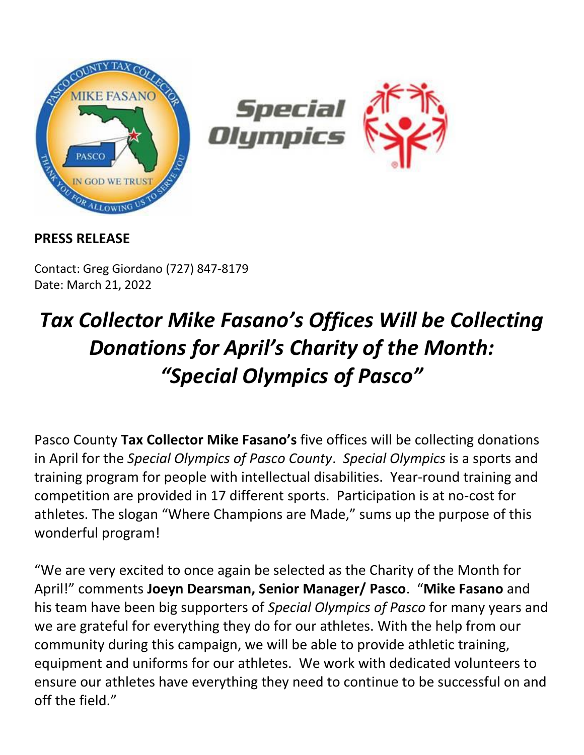

## **PRESS RELEASE**

Contact: Greg Giordano (727) 847-8179 Date: March 21, 2022

## *Tax Collector Mike Fasano's Offices Will be Collecting Donations for April's Charity of the Month: "Special Olympics of Pasco"*

Pasco County **Tax Collector Mike Fasano's** five offices will be collecting donations in April for the *Special Olympics of Pasco County*. *Special Olympics* is a sports and training program for people with intellectual disabilities. Year-round training and competition are provided in 17 different sports. Participation is at no-cost for athletes. The slogan "Where Champions are Made," sums up the purpose of this wonderful program!

"We are very excited to once again be selected as the Charity of the Month for April!" comments **Joeyn Dearsman, Senior Manager/ Pasco**. "**Mike Fasano** and his team have been big supporters of *Special Olympics of Pasco* for many years and we are grateful for everything they do for our athletes. With the help from our community during this campaign, we will be able to provide athletic training, equipment and uniforms for our athletes. We work with dedicated volunteers to ensure our athletes have everything they need to continue to be successful on and off the field."